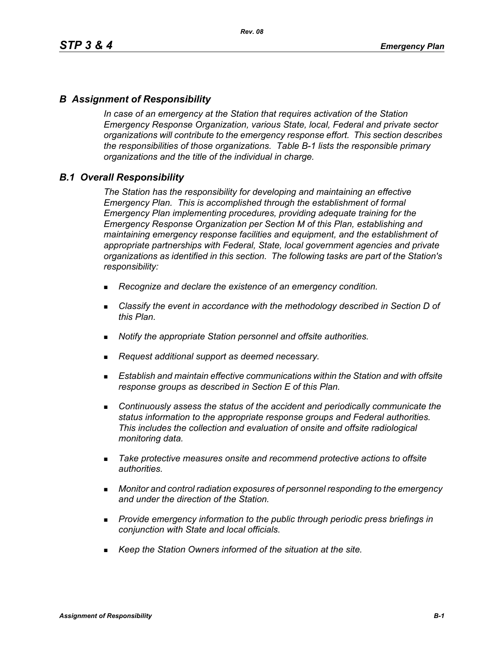### *B Assignment of Responsibility*

*In case of an emergency at the Station that requires activation of the Station Emergency Response Organization, various State, local, Federal and private sector organizations will contribute to the emergency response effort. This section describes the responsibilities of those organizations. Table B-1 lists the responsible primary organizations and the title of the individual in charge.*

### *B.1 Overall Responsibility*

*The Station has the responsibility for developing and maintaining an effective Emergency Plan. This is accomplished through the establishment of formal Emergency Plan implementing procedures, providing adequate training for the Emergency Response Organization per Section M of this Plan, establishing and maintaining emergency response facilities and equipment, and the establishment of appropriate partnerships with Federal, State, local government agencies and private organizations as identified in this section. The following tasks are part of the Station's responsibility:*

- *Recognize and declare the existence of an emergency condition.*
- *Classify the event in accordance with the methodology described in Section D of this Plan.*
- *Notify the appropriate Station personnel and offsite authorities.*
- *Request additional support as deemed necessary.*
- **Establish and maintain effective communications within the Station and with offsite** *response groups as described in Section E of this Plan.*
- *Continuously assess the status of the accident and periodically communicate the status information to the appropriate response groups and Federal authorities. This includes the collection and evaluation of onsite and offsite radiological monitoring data.*
- *Take protective measures onsite and recommend protective actions to offsite authorities.*
- *Monitor and control radiation exposures of personnel responding to the emergency and under the direction of the Station.*
- *Provide emergency information to the public through periodic press briefings in conjunction with State and local officials.*
- *Keep the Station Owners informed of the situation at the site.*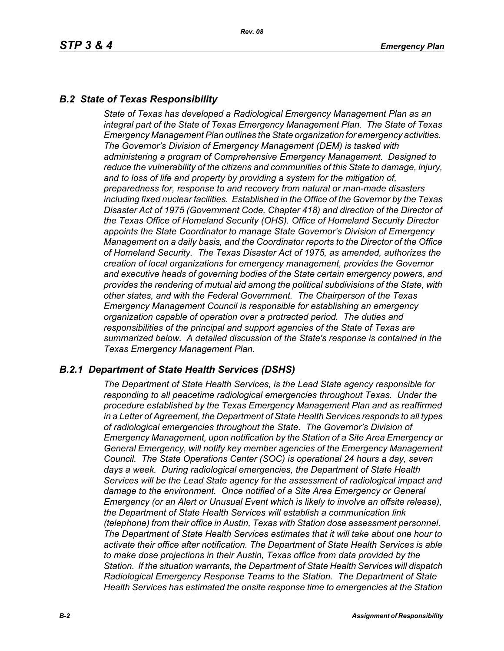# *B.2 State of Texas Responsibility*

*State of Texas has developed a Radiological Emergency Management Plan as an integral part of the State of Texas Emergency Management Plan. The State of Texas Emergency Management Plan outlines the State organization for emergency activities. The Governor's Division of Emergency Management (DEM) is tasked with administering a program of Comprehensive Emergency Management. Designed to reduce the vulnerability of the citizens and communities of this State to damage, injury, and to loss of life and property by providing a system for the mitigation of, preparedness for, response to and recovery from natural or man-made disasters including fixed nuclear facilities. Established in the Office of the Governor by the Texas Disaster Act of 1975 (Government Code, Chapter 418) and direction of the Director of the Texas Office of Homeland Security (OHS). Office of Homeland Security Director appoints the State Coordinator to manage State Governor's Division of Emergency Management on a daily basis, and the Coordinator reports to the Director of the Office of Homeland Security. The Texas Disaster Act of 1975, as amended, authorizes the creation of local organizations for emergency management, provides the Governor and executive heads of governing bodies of the State certain emergency powers, and provides the rendering of mutual aid among the political subdivisions of the State, with other states, and with the Federal Government. The Chairperson of the Texas Emergency Management Council is responsible for establishing an emergency organization capable of operation over a protracted period. The duties and responsibilities of the principal and support agencies of the State of Texas are summarized below. A detailed discussion of the State's response is contained in the Texas Emergency Management Plan.*

### *B.2.1 Department of State Health Services (DSHS)*

*The Department of State Health Services, is the Lead State agency responsible for responding to all peacetime radiological emergencies throughout Texas. Under the procedure established by the Texas Emergency Management Plan and as reaffirmed in a Letter of Agreement, the Department of State Health Services responds to all types of radiological emergencies throughout the State. The Governor's Division of Emergency Management, upon notification by the Station of a Site Area Emergency or General Emergency, will notify key member agencies of the Emergency Management Council. The State Operations Center (SOC) is operational 24 hours a day, seven days a week. During radiological emergencies, the Department of State Health Services will be the Lead State agency for the assessment of radiological impact and damage to the environment. Once notified of a Site Area Emergency or General Emergency (or an Alert or Unusual Event which is likely to involve an offsite release), the Department of State Health Services will establish a communication link (telephone) from their office in Austin, Texas with Station dose assessment personnel. The Department of State Health Services estimates that it will take about one hour to activate their office after notification. The Department of State Health Services is able to make dose projections in their Austin, Texas office from data provided by the Station. If the situation warrants, the Department of State Health Services will dispatch Radiological Emergency Response Teams to the Station. The Department of State Health Services has estimated the onsite response time to emergencies at the Station*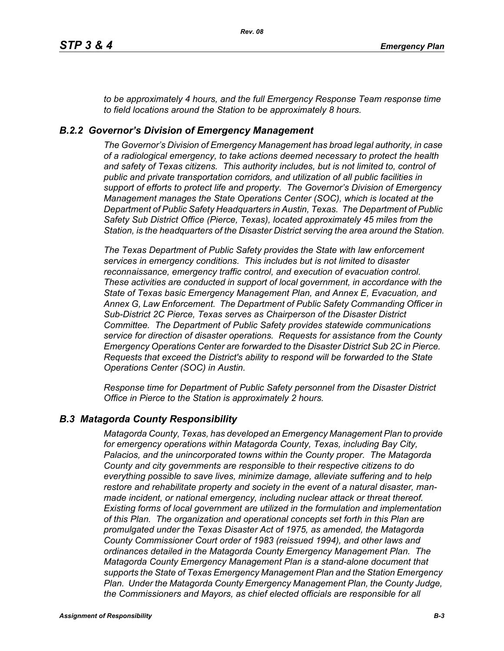*to be approximately 4 hours, and the full Emergency Response Team response time to field locations around the Station to be approximately 8 hours.*

### *B.2.2 Governor's Division of Emergency Management*

*The Governor's Division of Emergency Management has broad legal authority, in case of a radiological emergency, to take actions deemed necessary to protect the health and safety of Texas citizens. This authority includes, but is not limited to, control of public and private transportation corridors, and utilization of all public facilities in support of efforts to protect life and property. The Governor's Division of Emergency Management manages the State Operations Center (SOC), which is located at the Department of Public Safety Headquarters in Austin, Texas. The Department of Public Safety Sub District Office (Pierce, Texas), located approximately 45 miles from the Station, is the headquarters of the Disaster District serving the area around the Station.*

*The Texas Department of Public Safety provides the State with law enforcement services in emergency conditions. This includes but is not limited to disaster reconnaissance, emergency traffic control, and execution of evacuation control. These activities are conducted in support of local government, in accordance with the State of Texas basic Emergency Management Plan, and Annex E, Evacuation, and Annex G, Law Enforcement. The Department of Public Safety Commanding Officer in Sub-District 2C Pierce, Texas serves as Chairperson of the Disaster District Committee. The Department of Public Safety provides statewide communications service for direction of disaster operations. Requests for assistance from the County Emergency Operations Center are forwarded to the Disaster District Sub 2C in Pierce. Requests that exceed the District's ability to respond will be forwarded to the State Operations Center (SOC) in Austin.* 

*Response time for Department of Public Safety personnel from the Disaster District Office in Pierce to the Station is approximately 2 hours.*

### *B.3 Matagorda County Responsibility*

*Matagorda County, Texas, has developed an Emergency Management Plan to provide for emergency operations within Matagorda County, Texas, including Bay City, Palacios, and the unincorporated towns within the County proper. The Matagorda County and city governments are responsible to their respective citizens to do everything possible to save lives, minimize damage, alleviate suffering and to help restore and rehabilitate property and society in the event of a natural disaster, manmade incident, or national emergency, including nuclear attack or threat thereof. Existing forms of local government are utilized in the formulation and implementation of this Plan. The organization and operational concepts set forth in this Plan are promulgated under the Texas Disaster Act of 1975, as amended, the Matagorda County Commissioner Court order of 1983 (reissued 1994), and other laws and ordinances detailed in the Matagorda County Emergency Management Plan. The Matagorda County Emergency Management Plan is a stand-alone document that supports the State of Texas Emergency Management Plan and the Station Emergency Plan. Under the Matagorda County Emergency Management Plan, the County Judge, the Commissioners and Mayors, as chief elected officials are responsible for all*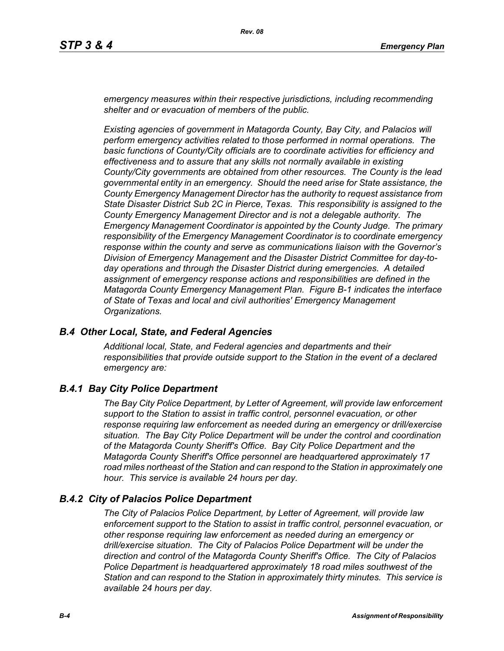*emergency measures within their respective jurisdictions, including recommending shelter and or evacuation of members of the public.* 

*Existing agencies of government in Matagorda County, Bay City, and Palacios will perform emergency activities related to those performed in normal operations. The basic functions of County/City officials are to coordinate activities for efficiency and effectiveness and to assure that any skills not normally available in existing County/City governments are obtained from other resources. The County is the lead governmental entity in an emergency. Should the need arise for State assistance, the County Emergency Management Director has the authority to request assistance from State Disaster District Sub 2C in Pierce, Texas. This responsibility is assigned to the County Emergency Management Director and is not a delegable authority. The Emergency Management Coordinator is appointed by the County Judge. The primary responsibility of the Emergency Management Coordinator is to coordinate emergency response within the county and serve as communications liaison with the Governor's Division of Emergency Management and the Disaster District Committee for day-today operations and through the Disaster District during emergencies. A detailed assignment of emergency response actions and responsibilities are defined in the Matagorda County Emergency Management Plan. Figure B-1 indicates the interface of State of Texas and local and civil authorities' Emergency Management Organizations.*

#### *B.4 Other Local, State, and Federal Agencies*

*Additional local, State, and Federal agencies and departments and their responsibilities that provide outside support to the Station in the event of a declared emergency are:*

### *B.4.1 Bay City Police Department*

*The Bay City Police Department, by Letter of Agreement, will provide law enforcement support to the Station to assist in traffic control, personnel evacuation, or other response requiring law enforcement as needed during an emergency or drill/exercise situation. The Bay City Police Department will be under the control and coordination of the Matagorda County Sheriff's Office. Bay City Police Department and the Matagorda County Sheriff's Office personnel are headquartered approximately 17 road miles northeast of the Station and can respond to the Station in approximately one hour. This service is available 24 hours per day.*

#### *B.4.2 City of Palacios Police Department*

*The City of Palacios Police Department, by Letter of Agreement, will provide law enforcement support to the Station to assist in traffic control, personnel evacuation, or other response requiring law enforcement as needed during an emergency or drill/exercise situation. The City of Palacios Police Department will be under the direction and control of the Matagorda County Sheriff's Office. The City of Palacios Police Department is headquartered approximately 18 road miles southwest of the Station and can respond to the Station in approximately thirty minutes. This service is available 24 hours per day.*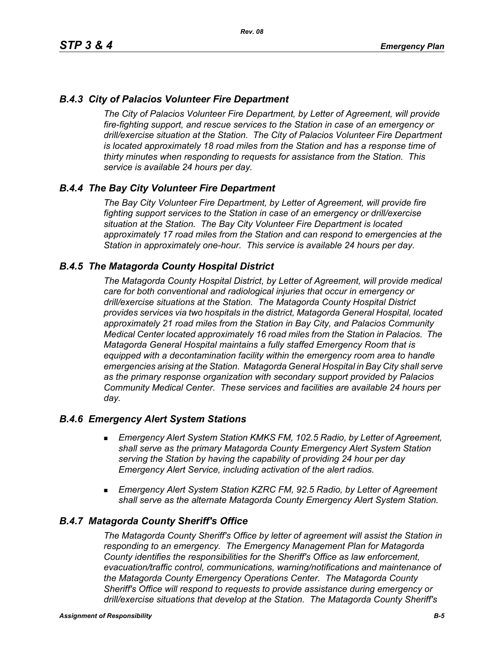### *B.4.3 City of Palacios Volunteer Fire Department*

*The City of Palacios Volunteer Fire Department, by Letter of Agreement, will provide fire-fighting support, and rescue services to the Station in case of an emergency or drill/exercise situation at the Station. The City of Palacios Volunteer Fire Department is located approximately 18 road miles from the Station and has a response time of thirty minutes when responding to requests for assistance from the Station. This service is available 24 hours per day.*

### *B.4.4 The Bay City Volunteer Fire Department*

*The Bay City Volunteer Fire Department, by Letter of Agreement, will provide fire fighting support services to the Station in case of an emergency or drill/exercise situation at the Station. The Bay City Volunteer Fire Department is located approximately 17 road miles from the Station and can respond to emergencies at the Station in approximately one-hour. This service is available 24 hours per day.*

### *B.4.5 The Matagorda County Hospital District*

*The Matagorda County Hospital District, by Letter of Agreement, will provide medical care for both conventional and radiological injuries that occur in emergency or drill/exercise situations at the Station. The Matagorda County Hospital District provides services via two hospitals in the district, Matagorda General Hospital, located approximately 21 road miles from the Station in Bay City, and Palacios Community Medical Center located approximately 16 road miles from the Station in Palacios. The Matagorda General Hospital maintains a fully staffed Emergency Room that is equipped with a decontamination facility within the emergency room area to handle emergencies arising at the Station. Matagorda General Hospital in Bay City shall serve as the primary response organization with secondary support provided by Palacios Community Medical Center. These services and facilities are available 24 hours per day.*

#### *B.4.6 Emergency Alert System Stations*

- *Emergency Alert System Station KMKS FM, 102.5 Radio, by Letter of Agreement, shall serve as the primary Matagorda County Emergency Alert System Station serving the Station by having the capability of providing 24 hour per day Emergency Alert Service, including activation of the alert radios.*
- *Emergency Alert System Station KZRC FM, 92.5 Radio, by Letter of Agreement shall serve as the alternate Matagorda County Emergency Alert System Station.*

#### *B.4.7 Matagorda County Sheriff's Office*

*The Matagorda County Sheriff's Office by letter of agreement will assist the Station in responding to an emergency. The Emergency Management Plan for Matagorda County identifies the responsibilities for the Sheriff's Office as law enforcement, evacuation/traffic control, communications, warning/notifications and maintenance of the Matagorda County Emergency Operations Center. The Matagorda County Sheriff's Office will respond to requests to provide assistance during emergency or drill/exercise situations that develop at the Station. The Matagorda County Sheriff's*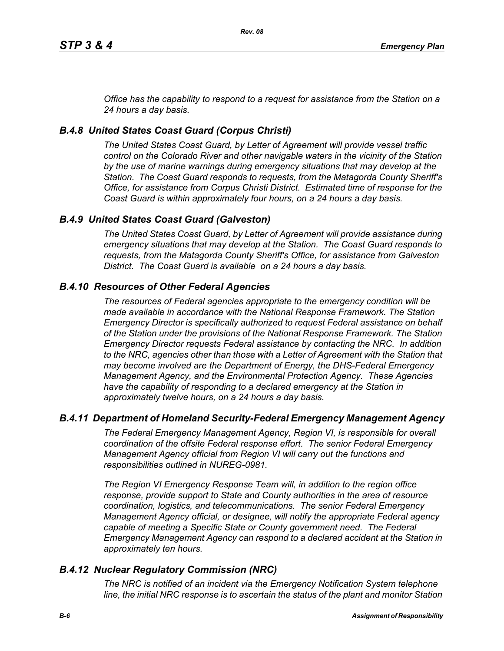*Office has the capability to respond to a request for assistance from the Station on a 24 hours a day basis.*

# *B.4.8 United States Coast Guard (Corpus Christi)*

*The United States Coast Guard, by Letter of Agreement will provide vessel traffic control on the Colorado River and other navigable waters in the vicinity of the Station by the use of marine warnings during emergency situations that may develop at the Station. The Coast Guard responds to requests, from the Matagorda County Sheriff's Office, for assistance from Corpus Christi District. Estimated time of response for the Coast Guard is within approximately four hours, on a 24 hours a day basis.*

# *B.4.9 United States Coast Guard (Galveston)*

*The United States Coast Guard, by Letter of Agreement will provide assistance during emergency situations that may develop at the Station. The Coast Guard responds to requests, from the Matagorda County Sheriff's Office, for assistance from Galveston District. The Coast Guard is available on a 24 hours a day basis.*

# *B.4.10 Resources of Other Federal Agencies*

*The resources of Federal agencies appropriate to the emergency condition will be made available in accordance with the National Response Framework. The Station Emergency Director is specifically authorized to request Federal assistance on behalf of the Station under the provisions of the National Response Framework. The Station Emergency Director requests Federal assistance by contacting the NRC. In addition*  to the NRC, agencies other than those with a Letter of Agreement with the Station that *may become involved are the Department of Energy, the DHS-Federal Emergency Management Agency, and the Environmental Protection Agency. These Agencies*  have the capability of responding to a declared emergency at the Station in *approximately twelve hours, on a 24 hours a day basis.*

### *B.4.11 Department of Homeland Security-Federal Emergency Management Agency*

*The Federal Emergency Management Agency, Region VI, is responsible for overall coordination of the offsite Federal response effort. The senior Federal Emergency Management Agency official from Region VI will carry out the functions and responsibilities outlined in NUREG-0981.*

*The Region VI Emergency Response Team will, in addition to the region office response, provide support to State and County authorities in the area of resource coordination, logistics, and telecommunications. The senior Federal Emergency Management Agency official, or designee, will notify the appropriate Federal agency*  capable of meeting a Specific State or County government need. The Federal *Emergency Management Agency can respond to a declared accident at the Station in approximately ten hours.*

### *B.4.12 Nuclear Regulatory Commission (NRC)*

*The NRC is notified of an incident via the Emergency Notification System telephone line, the initial NRC response is to ascertain the status of the plant and monitor Station*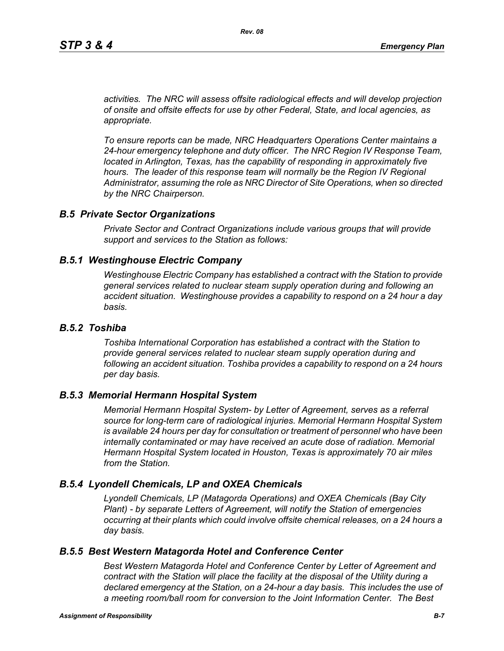*activities. The NRC will assess offsite radiological effects and will develop projection of onsite and offsite effects for use by other Federal, State, and local agencies, as appropriate.*

*To ensure reports can be made, NRC Headquarters Operations Center maintains a 24-hour emergency telephone and duty officer. The NRC Region IV Response Team, located in Arlington, Texas, has the capability of responding in approximately five* hours. The leader of this response team will normally be the Region IV Regional *Administrator, assuming the role as NRC Director of Site Operations, when so directed by the NRC Chairperson.*

#### *B.5 Private Sector Organizations*

*Private Sector and Contract Organizations include various groups that will provide support and services to the Station as follows:*

#### *B.5.1 Westinghouse Electric Company*

*Westinghouse Electric Company has established a contract with the Station to provide general services related to nuclear steam supply operation during and following an accident situation. Westinghouse provides a capability to respond on a 24 hour a day basis.* 

#### *B.5.2 Toshiba*

*Toshiba International Corporation has established a contract with the Station to provide general services related to nuclear steam supply operation during and following an accident situation. Toshiba provides a capability to respond on a 24 hours per day basis.*

#### *B.5.3 Memorial Hermann Hospital System*

*Memorial Hermann Hospital System- by Letter of Agreement, serves as a referral source for long-term care of radiological injuries. Memorial Hermann Hospital System is available 24 hours per day for consultation or treatment of personnel who have been*  internally contaminated or may have received an acute dose of radiation. Memorial *Hermann Hospital System located in Houston, Texas is approximately 70 air miles from the Station.*

#### *B.5.4 Lyondell Chemicals, LP and OXEA Chemicals*

*Lyondell Chemicals, LP (Matagorda Operations) and OXEA Chemicals (Bay City Plant) - by separate Letters of Agreement, will notify the Station of emergencies occurring at their plants which could involve offsite chemical releases, on a 24 hours a day basis.*

#### *B.5.5 Best Western Matagorda Hotel and Conference Center*

*Best Western Matagorda Hotel and Conference Center by Letter of Agreement and contract with the Station will place the facility at the disposal of the Utility during a declared emergency at the Station, on a 24-hour a day basis. This includes the use of a meeting room/ball room for conversion to the Joint Information Center. The Best*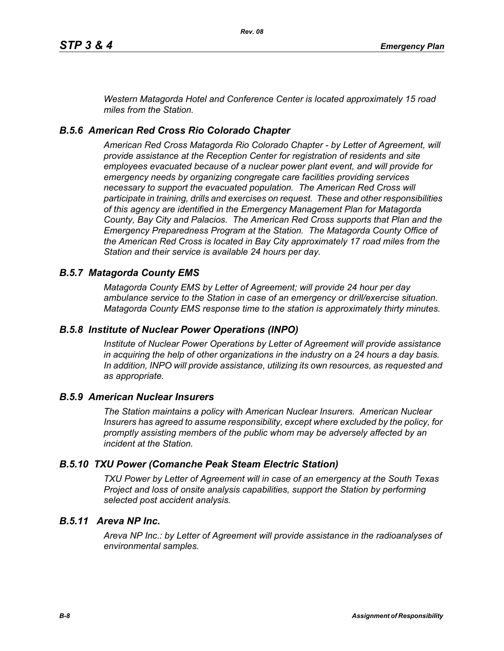*Western Matagorda Hotel and Conference Center is located approximately 15 road miles from the Station.*

### *B.5.6 American Red Cross Rio Colorado Chapter*

*American Red Cross Matagorda Rio Colorado Chapter - by Letter of Agreement, will provide assistance at the Reception Center for registration of residents and site employees evacuated because of a nuclear power plant event, and will provide for emergency needs by organizing congregate care facilities providing services necessary to support the evacuated population. The American Red Cross will participate in training, drills and exercises on request. These and other responsibilities of this agency are identified in the Emergency Management Plan for Matagorda County, Bay City and Palacios. The American Red Cross supports that Plan and the Emergency Preparedness Program at the Station. The Matagorda County Office of the American Red Cross is located in Bay City approximately 17 road miles from the Station and their service is available 24 hours per day.*

### *B.5.7 Matagorda County EMS*

*Matagorda County EMS by Letter of Agreement; will provide 24 hour per day ambulance service to the Station in case of an emergency or drill/exercise situation. Matagorda County EMS response time to the station is approximately thirty minutes.*

#### *B.5.8 Institute of Nuclear Power Operations (INPO)*

*Institute of Nuclear Power Operations by Letter of Agreement will provide assistance in acquiring the help of other organizations in the industry on a 24 hours a day basis. In addition, INPO will provide assistance, utilizing its own resources, as requested and as appropriate.*

#### *B.5.9 American Nuclear Insurers*

*The Station maintains a policy with American Nuclear Insurers. American Nuclear Insurers has agreed to assume responsibility, except where excluded by the policy, for promptly assisting members of the public whom may be adversely affected by an incident at the Station.*

### *B.5.10 TXU Power (Comanche Peak Steam Electric Station)*

*TXU Power by Letter of Agreement will in case of an emergency at the South Texas Project and loss of onsite analysis capabilities, support the Station by performing selected post accident analysis.*

### *B.5.11 Areva NP Inc.*

*Areva NP Inc.: by Letter of Agreement will provide assistance in the radioanalyses of environmental samples.*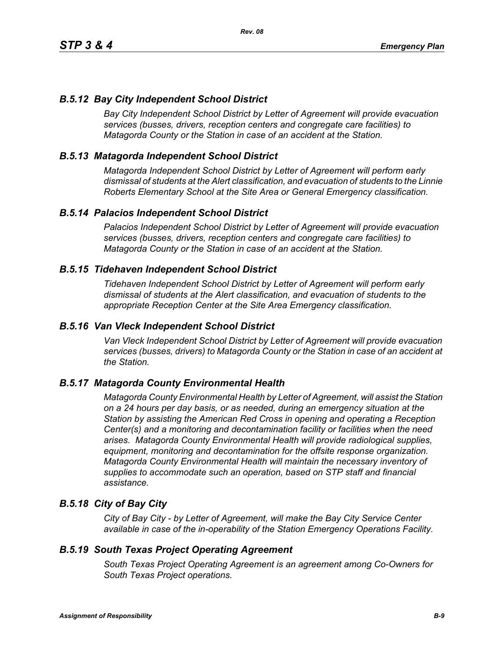# *B.5.12 Bay City Independent School District*

*Bay City Independent School District by Letter of Agreement will provide evacuation services (busses, drivers, reception centers and congregate care facilities) to Matagorda County or the Station in case of an accident at the Station.*

### *B.5.13 Matagorda Independent School District*

*Matagorda Independent School District by Letter of Agreement will perform early dismissal of students at the Alert classification, and evacuation of students to the Linnie Roberts Elementary School at the Site Area or General Emergency classification.*

### *B.5.14 Palacios Independent School District*

*Palacios Independent School District by Letter of Agreement will provide evacuation services (busses, drivers, reception centers and congregate care facilities) to Matagorda County or the Station in case of an accident at the Station.*

### *B.5.15 Tidehaven Independent School District*

*Tidehaven Independent School District by Letter of Agreement will perform early dismissal of students at the Alert classification, and evacuation of students to the appropriate Reception Center at the Site Area Emergency classification.*

#### *B.5.16 Van Vleck Independent School District*

*Van Vleck Independent School District by Letter of Agreement will provide evacuation services (busses, drivers) to Matagorda County or the Station in case of an accident at the Station.*

### *B.5.17 Matagorda County Environmental Health*

*Matagorda County Environmental Health by Letter of Agreement, will assist the Station on a 24 hours per day basis, or as needed, during an emergency situation at the Station by assisting the American Red Cross in opening and operating a Reception Center(s) and a monitoring and decontamination facility or facilities when the need arises. Matagorda County Environmental Health will provide radiological supplies, equipment, monitoring and decontamination for the offsite response organization. Matagorda County Environmental Health will maintain the necessary inventory of supplies to accommodate such an operation, based on STP staff and financial assistance.*

### *B.5.18 City of Bay City*

*City of Bay City - by Letter of Agreement, will make the Bay City Service Center available in case of the in-operability of the Station Emergency Operations Facility.*

#### *B.5.19 South Texas Project Operating Agreement*

*South Texas Project Operating Agreement is an agreement among Co-Owners for South Texas Project operations.*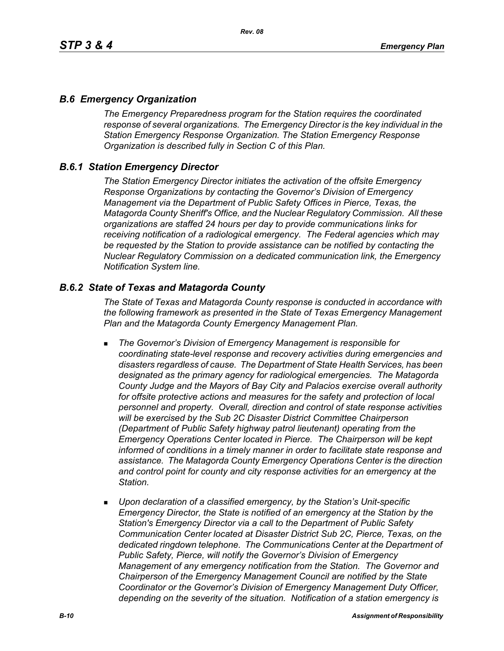### *B.6 Emergency Organization*

*The Emergency Preparedness program for the Station requires the coordinated response of several organizations. The Emergency Director is the key individual in the Station Emergency Response Organization. The Station Emergency Response Organization is described fully in Section C of this Plan.*

### *B.6.1 Station Emergency Director*

*The Station Emergency Director initiates the activation of the offsite Emergency Response Organizations by contacting the Governor's Division of Emergency Management via the Department of Public Safety Offices in Pierce, Texas, the Matagorda County Sheriff's Office, and the Nuclear Regulatory Commission. All these organizations are staffed 24 hours per day to provide communications links for receiving notification of a radiological emergency. The Federal agencies which may be requested by the Station to provide assistance can be notified by contacting the Nuclear Regulatory Commission on a dedicated communication link, the Emergency Notification System line.*

### *B.6.2 State of Texas and Matagorda County*

*The State of Texas and Matagorda County response is conducted in accordance with the following framework as presented in the State of Texas Emergency Management Plan and the Matagorda County Emergency Management Plan.*

- *The Governor's Division of Emergency Management is responsible for coordinating state-level response and recovery activities during emergencies and disasters regardless of cause. The Department of State Health Services, has been designated as the primary agency for radiological emergencies. The Matagorda County Judge and the Mayors of Bay City and Palacios exercise overall authority*  for offsite protective actions and measures for the safety and protection of local *personnel and property. Overall, direction and control of state response activities will be exercised by the Sub 2C Disaster District Committee Chairperson (Department of Public Safety highway patrol lieutenant) operating from the Emergency Operations Center located in Pierce. The Chairperson will be kept informed of conditions in a timely manner in order to facilitate state response and assistance. The Matagorda County Emergency Operations Center is the direction and control point for county and city response activities for an emergency at the Station.*
- *Upon declaration of a classified emergency, by the Station's Unit-specific Emergency Director, the State is notified of an emergency at the Station by the Station's Emergency Director via a call to the Department of Public Safety Communication Center located at Disaster District Sub 2C, Pierce, Texas, on the dedicated ringdown telephone. The Communications Center at the Department of Public Safety, Pierce, will notify the Governor's Division of Emergency Management of any emergency notification from the Station. The Governor and Chairperson of the Emergency Management Council are notified by the State Coordinator or the Governor's Division of Emergency Management Duty Officer, depending on the severity of the situation. Notification of a station emergency is*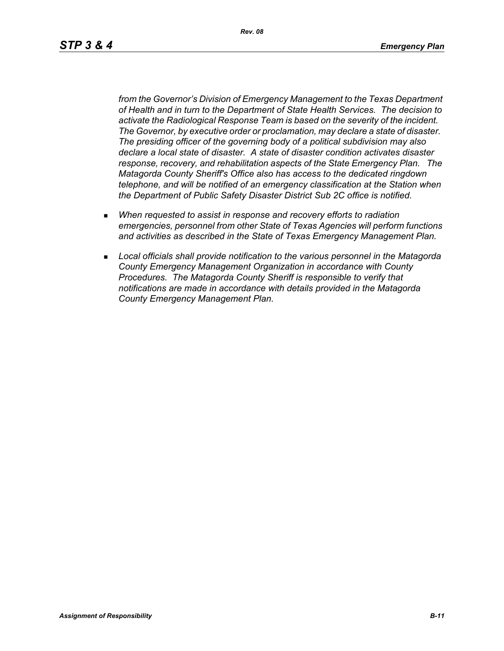*Rev. 08*

*from the Governor's Division of Emergency Management to the Texas Department of Health and in turn to the Department of State Health Services. The decision to activate the Radiological Response Team is based on the severity of the incident. The Governor, by executive order or proclamation, may declare a state of disaster. The presiding officer of the governing body of a political subdivision may also declare a local state of disaster. A state of disaster condition activates disaster response, recovery, and rehabilitation aspects of the State Emergency Plan. The Matagorda County Sheriff's Office also has access to the dedicated ringdown telephone, and will be notified of an emergency classification at the Station when the Department of Public Safety Disaster District Sub 2C office is notified.*

- *When requested to assist in response and recovery efforts to radiation emergencies, personnel from other State of Texas Agencies will perform functions and activities as described in the State of Texas Emergency Management Plan.*
- *Local officials shall provide notification to the various personnel in the Matagorda County Emergency Management Organization in accordance with County Procedures. The Matagorda County Sheriff is responsible to verify that notifications are made in accordance with details provided in the Matagorda County Emergency Management Plan.*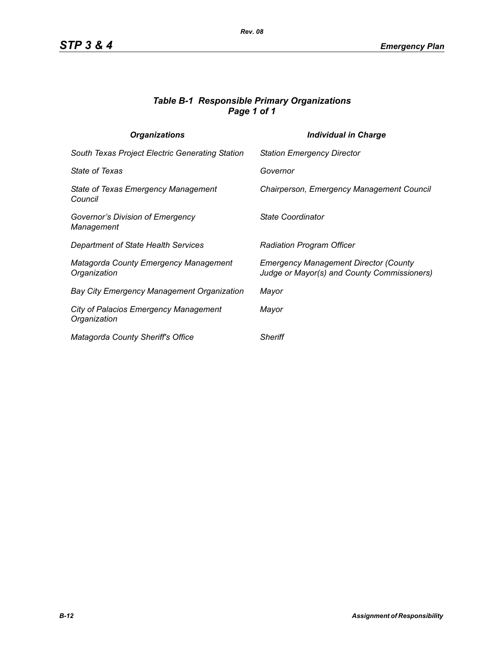### *Table B-1 Responsible Primary Organizations Page 1 of 1*

| <b>Organizations</b>                                         | <b>Individual in Charge</b>                                                                 |
|--------------------------------------------------------------|---------------------------------------------------------------------------------------------|
| South Texas Project Electric Generating Station              | <b>Station Emergency Director</b>                                                           |
| <b>State of Texas</b>                                        | Governor                                                                                    |
| State of Texas Emergency Management<br>Council               | Chairperson, Emergency Management Council                                                   |
| Governor's Division of Emergency<br>Management               | State Coordinator                                                                           |
| Department of State Health Services                          | <b>Radiation Program Officer</b>                                                            |
| <b>Matagorda County Emergency Management</b><br>Organization | <b>Emergency Management Director (County</b><br>Judge or Mayor(s) and County Commissioners) |
| <b>Bay City Emergency Management Organization</b>            | Mayor                                                                                       |
| <b>City of Palacios Emergency Management</b><br>Organization | Mayor                                                                                       |
| Matagorda County Sheriff's Office                            | <b>Sheriff</b>                                                                              |